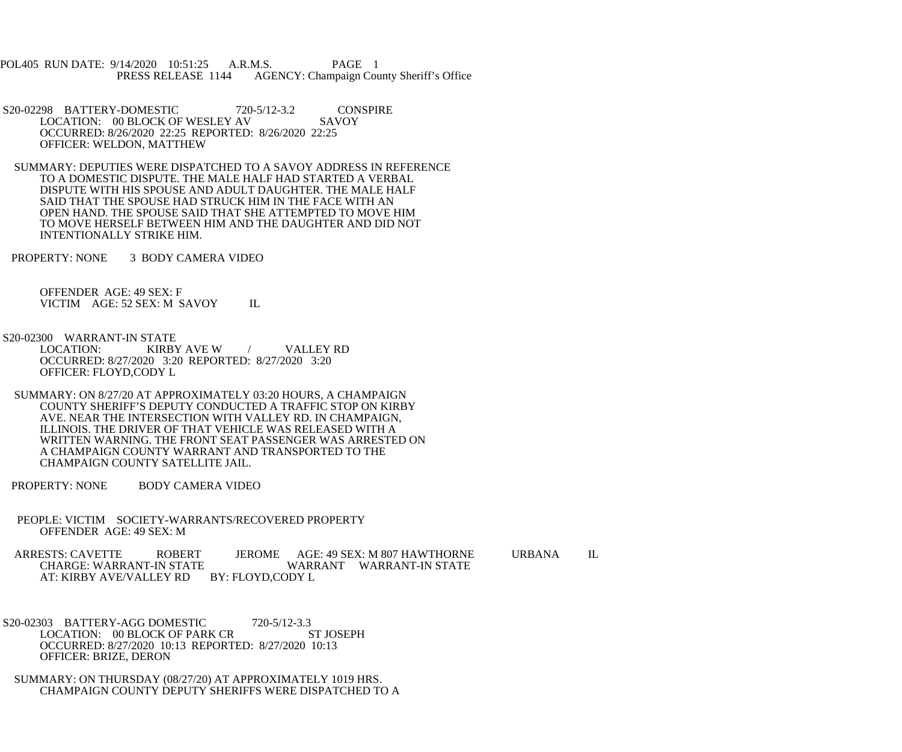POL405 RUN DATE: 9/14/2020 10:51:25 A.R.M.S. PAGE 1<br>PRESS RELEASE 1144 AGENCY: Champaign Cou AGENCY: Champaign County Sheriff's Office

S20-02298 BATTERY-DOMESTIC 720-5/12-3.2 CONSPIRE<br>LOCATION: 00 BLOCK OF WESLEY AV SAVOY LOCATION: 00 BLOCK OF WESLEY AV OCCURRED: 8/26/2020 22:25 REPORTED: 8/26/2020 22:25 OFFICER: WELDON, MATTHEW

 SUMMARY: DEPUTIES WERE DISPATCHED TO A SAVOY ADDRESS IN REFERENCE TO A DOMESTIC DISPUTE. THE MALE HALF HAD STARTED A VERBAL DISPUTE WITH HIS SPOUSE AND ADULT DAUGHTER. THE MALE HALF SAID THAT THE SPOUSE HAD STRUCK HIM IN THE FACE WITH AN OPEN HAND. THE SPOUSE SAID THAT SHE ATTEMPTED TO MOVE HIM TO MOVE HERSELF BETWEEN HIM AND THE DAUGHTER AND DID NOT INTENTIONALLY STRIKE HIM.

PROPERTY: NONE 3 BODY CAMERA VIDEO

 OFFENDER AGE: 49 SEX: F VICTIM AGE: 52 SEX: M SAVOY IL

S20-02300 WARRANT-IN STATE<br>LOCATION: KIRBY

KIRBY AVE W / VALLEY RD OCCURRED: 8/27/2020 3:20 REPORTED: 8/27/2020 3:20 OFFICER: FLOYD,CODY L

 SUMMARY: ON 8/27/20 AT APPROXIMATELY 03:20 HOURS, A CHAMPAIGN COUNTY SHERIFF'S DEPUTY CONDUCTED A TRAFFIC STOP ON KIRBY AVE. NEAR THE INTERSECTION WITH VALLEY RD. IN CHAMPAIGN, ILLINOIS. THE DRIVER OF THAT VEHICLE WAS RELEASED WITH A WRITTEN WARNING. THE FRONT SEAT PASSENGER WAS ARRESTED ON A CHAMPAIGN COUNTY WARRANT AND TRANSPORTED TO THE CHAMPAIGN COUNTY SATELLITE JAIL.

PROPERTY: NONE BODY CAMERA VIDEO

 PEOPLE: VICTIM SOCIETY-WARRANTS/RECOVERED PROPERTY OFFENDER AGE: 49 SEX: M

ARRESTS: CAVETTE ROBERT JEROME AGE: 49 SEX: M 807 HAWTHORNE URBANA IL<br>CHARGE: WARRANT-IN STATE WARRANT WARRANT-IN STATE WARRANT WARRANT-IN STATE AT: KIRBY AVE/VALLEY RD BY: FLOYD,CODY L

 S20-02303 BATTERY-AGG DOMESTIC 720-5/12-3.3 LOCATION: 00 BLOCK OF PARK CR ST JOSEPH OCCURRED: 8/27/2020 10:13 REPORTED: 8/27/2020 10:13 OFFICER: BRIZE, DERON

 SUMMARY: ON THURSDAY (08/27/20) AT APPROXIMATELY 1019 HRS. CHAMPAIGN COUNTY DEPUTY SHERIFFS WERE DISPATCHED TO A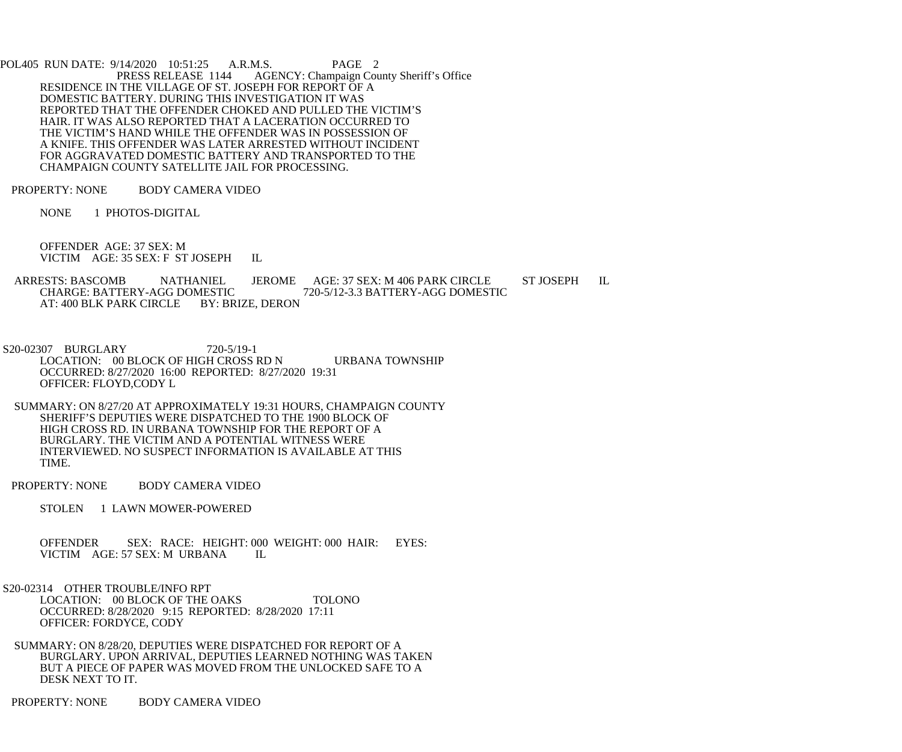POL405 RUN DATE: 9/14/2020 10:51:25 A.R.M.S. PAGE 2<br>PRESS RELEASE 1144 AGENCY: Champaign Cou AGENCY: Champaign County Sheriff's Office RESIDENCE IN THE VILLAGE OF ST. JOSEPH FOR REPORT OF A DOMESTIC BATTERY. DURING THIS INVESTIGATION IT WAS REPORTED THAT THE OFFENDER CHOKED AND PULLED THE VICTIM'S HAIR. IT WAS ALSO REPORTED THAT A LACERATION OCCURRED TO THE VICTIM'S HAND WHILE THE OFFENDER WAS IN POSSESSION OF A KNIFE. THIS OFFENDER WAS LATER ARRESTED WITHOUT INCIDENT FOR AGGRAVATED DOMESTIC BATTERY AND TRANSPORTED TO THE CHAMPAIGN COUNTY SATELLITE JAIL FOR PROCESSING.

PROPERTY: NONE BODY CAMERA VIDEO

NONE 1 PHOTOS-DIGITAL

 OFFENDER AGE: 37 SEX: M VICTIM AGE: 35 SEX: F ST JOSEPH IL

ARRESTS: BASCOMB NATHANIEL JEROME AGE: 37 SEX: M 406 PARK CIRCLE ST JOSEPH IL CHARGE: BATTERY-AGG DOMESTIC 720-5/12-3.3 BATTERY-AGG DOMESTIC MESTIC 720-5/12-3.3 BATTERY-AGG DOMESTIC<br>BY: BRIZE. DERON AT: 400 BLK PARK CIRCLE

 S20-02307 BURGLARY 720-5/19-1 LOCATION: 00 BLOCK OF HIGH CROSS RD N URBANA TOWNSHIP OCCURRED: 8/27/2020 16:00 REPORTED: 8/27/2020 19:31 OFFICER: FLOYD,CODY L

 SUMMARY: ON 8/27/20 AT APPROXIMATELY 19:31 HOURS, CHAMPAIGN COUNTY SHERIFF'S DEPUTIES WERE DISPATCHED TO THE 1900 BLOCK OF HIGH CROSS RD. IN URBANA TOWNSHIP FOR THE REPORT OF A BURGLARY. THE VICTIM AND A POTENTIAL WITNESS WERE INTERVIEWED. NO SUSPECT INFORMATION IS AVAILABLE AT THIS TIME.

PROPERTY: NONE BODY CAMERA VIDEO

STOLEN 1 LAWN MOWER-POWERED

OFFENDER SEX: RACE: HEIGHT: 000 WEIGHT: 000 HAIR: EYES: VICTIM AGE: 57 SEX: M URBANA IL VICTIM AGE: 57 SEX: M URBANA

S20-02314 OTHER TROUBLE/INFO RPT

LOCATION: 00 BLOCK OF THE OAKS TOLONO OCCURRED: 8/28/2020 9:15 REPORTED: 8/28/2020 17:11 OFFICER: FORDYCE, CODY

 SUMMARY: ON 8/28/20, DEPUTIES WERE DISPATCHED FOR REPORT OF A BURGLARY. UPON ARRIVAL, DEPUTIES LEARNED NOTHING WAS TAKEN BUT A PIECE OF PAPER WAS MOVED FROM THE UNLOCKED SAFE TO A DESK NEXT TO IT.

PROPERTY: NONE BODY CAMERA VIDEO